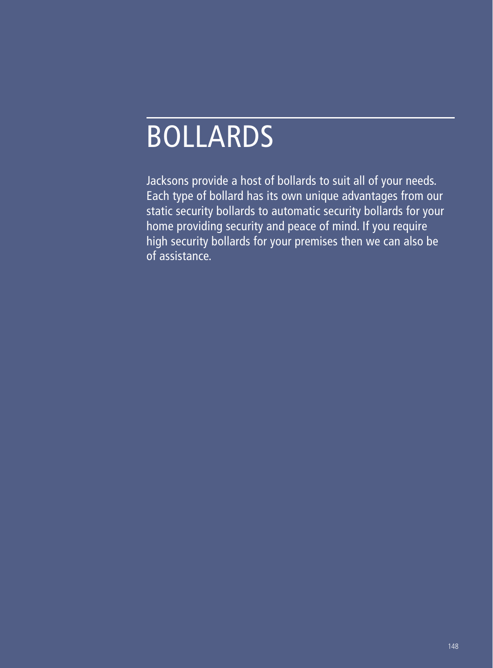# BOLLARDS

Jacksons provide a host of bollards to suit all of your needs. Each type of bollard has its own unique advantages from our static security bollards to automatic security bollards for your home providing security and peace of mind. If you require high security bollards for your premises then we can also be of assistance.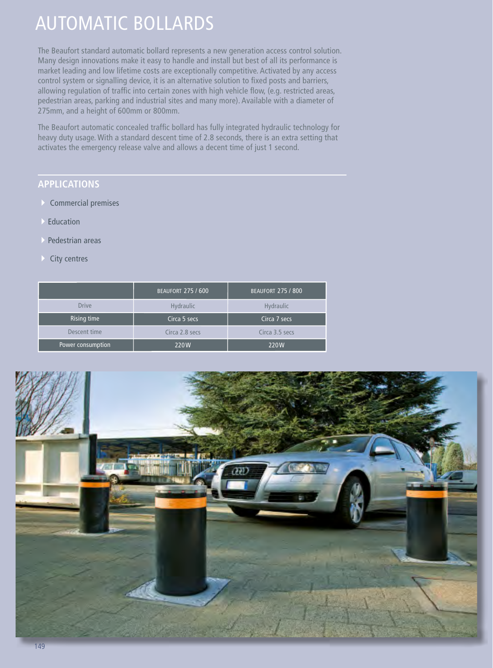### AUTOMATIC BOLLARDS

The Beaufort standard automatic bollard represents a new generation access control solution. Many design innovations make it easy to handle and install but best of all its performance is market leading and low lifetime costs are exceptionally competitive. Activated by any access control system or signalling device, it is an alternative solution to fixed posts and barriers, allowing regulation of traffic into certain zones with high vehicle flow, (e.g. restricted areas, pedestrian areas, parking and industrial sites and many more). Available with a diameter of 275mm, and a height of 600mm or 800mm.

The Beaufort automatic concealed traffic bollard has fully integrated hydraulic technology for heavy duty usage. With a standard descent time of 2.8 seconds, there is an extra setting that activates the emergency release valve and allows a decent time of just 1 second.

### **APPLICATIONS**

- 4 Commercial premises
- **Education**
- Pedestrian areas
- $\triangleright$  City centres

|                   | <b>BEAUFORT 275 / 600</b> | <b>BEAUFORT 275 / 800</b> |
|-------------------|---------------------------|---------------------------|
| <b>Drive</b>      | <b>Hydraulic</b>          | Hydraulic                 |
| Rising time       | Circa 5 secs              | Circa 7 secs              |
| Descent time      | Circa 2.8 secs            | Circa 3.5 secs            |
| Power consumption | 220W                      | 220W                      |

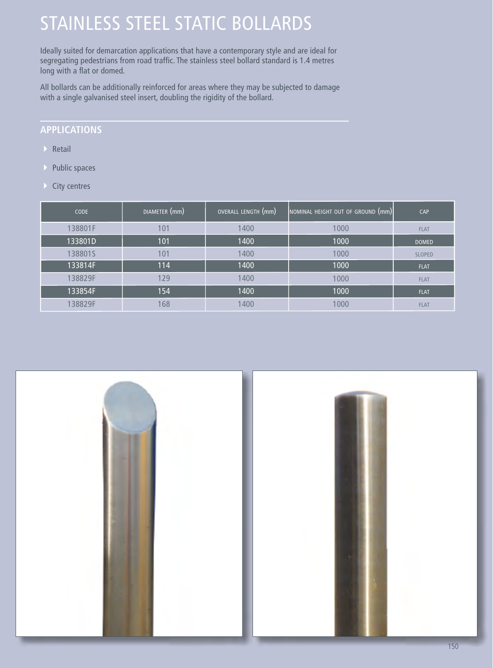### STAINLESS STEEL STATIC BOLLARDS

Ideally suited for demarcation applications that have a contemporary style and are ideal for segregating pedestrians from road traffic. The stainless steel bollard standard is 1.4 metres long with a flat or domed.

All bollards can be additionally reinforced for areas where they may be subjected to damage with a single galvanised steel insert, doubling the rigidity of the bollard.

#### **APPLICATIONS**

- $\triangleright$  Retail
- **Public spaces**
- **City centres**

| <b>CODE</b> | DIAMETER (mm) | OVERALL LENGTH (mm) | NOMINAL HEIGHT OUT OF GROUND (mm) | CAP           |
|-------------|---------------|---------------------|-----------------------------------|---------------|
| 138801F     | 101           | 1400                | 1000                              | <b>FLAT</b>   |
| 133801D     | 101           | 1400                | 1000                              | <b>DOMED</b>  |
| 138801S     | 101           | 1400                | 1000                              | <b>SLOPED</b> |
| 133814F     | 114           | 1400                | 1000                              | <b>FLAT</b>   |
| 138829F     | 129           | 1400                | 1000                              | <b>FLAT</b>   |
| 133854F     | 154           | 1400                | 1000                              | <b>FLAT</b>   |
| 138829F     | 168           | 1400                | 1000                              | <b>FLAT</b>   |



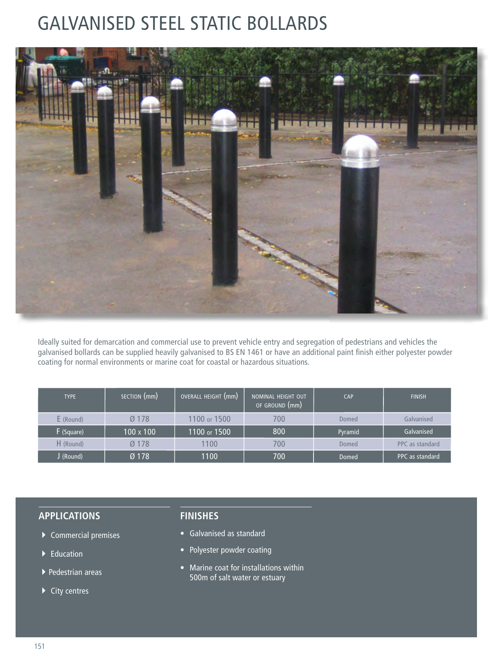### GALVANISED STEEL STATIC BOLLARDS



Ideally suited for demarcation and commercial use to prevent vehicle entry and segregation of pedestrians and vehicles the galvanised bollards can be supplied heavily galvanised to BS EN 1461 or have an additional paint finish either polyester powder coating for normal environments or marine coat for coastal or hazardous situations.

| <b>TYPE</b> | SECTION (mm)     | OVERALL HEIGHT (mm) | NOMINAL HEIGHT OUT<br>OF GROUND (mm) | <b>CAP</b>   | <b>FINISH</b>   |
|-------------|------------------|---------------------|--------------------------------------|--------------|-----------------|
| E (Round)   | $Ø$ 178          | 1100 or 1500        | 700                                  | Domed        | Galvanised      |
| F (Square)  | $100 \times 100$ | 1100 or 1500        | 800                                  | Pyramid      | Galvanised      |
| H (Round)   | $Ø$ 178          | 1100                | 700                                  | Domed        | PPC as standard |
| J (Round)   | $Ø$ 178          | 1100                | 700                                  | <b>Domed</b> | PPC as standard |

#### **APPLICATIONS**

- $\blacktriangleright$  Commercial premises
- $\blacktriangleright$  Education
- 4Pedestrian areas
- $\blacktriangleright$  City centres

#### **FINISHES**

- Galvanised as standard
- Polyester powder coating
- Marine coat for installations within 500m of salt water or estuary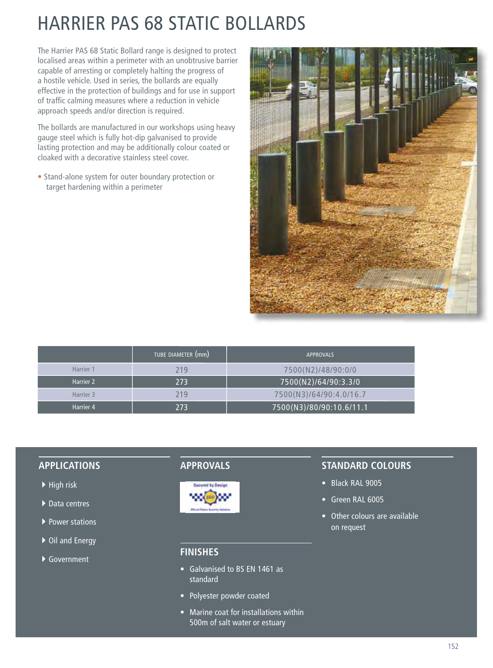## HARRIER PAS 68 STATIC BOLLARDS

The Harrier PAS 68 Static Bollard range is designed to protect localised areas within a perimeter with an unobtrusive barrier capable of arresting or completely halting the progress of a hostile vehicle. Used in series, the bollards are equally effective in the protection of buildings and for use in support of traffic calming measures where a reduction in vehicle approach speeds and/or direction is required.

The bollards are manufactured in our workshops using heavy gauge steel which is fully hot-dip galvanised to provide lasting protection and may be additionally colour coated or cloaked with a decorative stainless steel cover.

• Stand-alone system for outer boundary protection or target hardening within a perimeter



|           | TUBE DIAMETER (mm) | <b>APPROVALS</b>         |
|-----------|--------------------|--------------------------|
| Harrier 1 | 219                | 7500(N2)/48/90:0/0       |
| Harrier 2 | 273                | 7500(N2)/64/90:3.3/0     |
| Harrier 3 | 219                | 7500(N3)/64/90:4.0/16.7  |
| Harrier 4 | 273                | 7500(N3)/80/90:10.6/11.1 |

#### **APPLICATIONS**

- $\blacktriangleright$  High risk
- $\blacktriangleright$  Data centres
- ▶ Power stations
- ▶ Oil and Energy
- ▶ Government

### **APPROVALS**



#### **FINISHES**

- Galvanised to BS EN 1461 as standard
- Polyester powder coated
- Marine coat for installations within 500m of salt water or estuary

#### **STANDARD COLOURS**

- Black RAL 9005
- Green RAL 6005
- Other colours are available on request